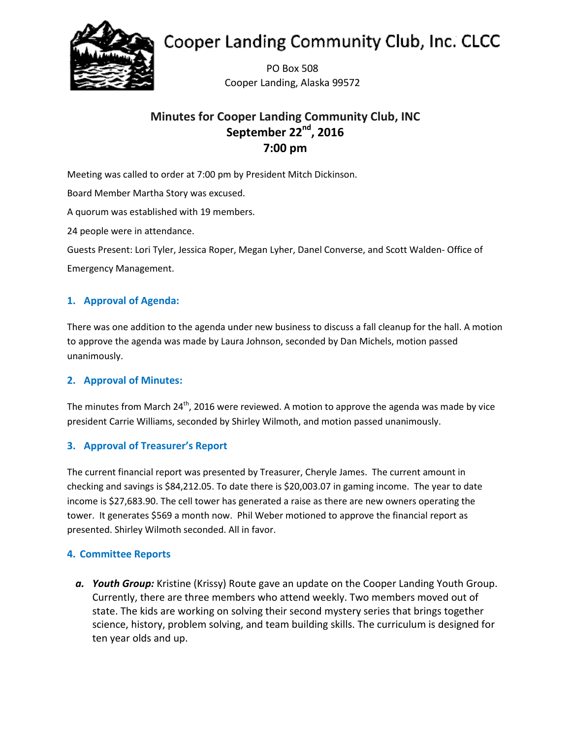

# **Cooper Landing Community Club, Inc. CLCC**

PO Box 508 Cooper Landing, Alaska 99572

# **Minutes for Cooper Landing Community Club, INC** September 22<sup>nd</sup>, 2016 **7:00 pm**

Meeting was called to order at 7:00 pm by President Mitch Dickinson.

Board Member Martha Story was excused.

A quorum was established with 19 members.

24 people were in attendance.

Guests Present: Lori Tyler, Jessica Roper, Megan Lyher, Danel Converse, and Scott Walden- Office of Emergency Management.

# **1. Approval of Agenda:**

There was one addition to the agenda under new business to discuss a fall cleanup for the hall. A motion to approve the agenda was made by Laura Johnson, seconded by Dan Michels, motion passed unanimously.

# **2. Approval of Minutes:**

The minutes from March 24<sup>th</sup>, 2016 were reviewed. A motion to approve the agenda was made by vice president Carrie Williams, seconded by Shirley Wilmoth, and motion passed unanimously.

# **3. Approval of Treasurer's Report**

The current financial report was presented by Treasurer, Cheryle James. The current amount in checking and savings is \$84,212.05. To date there is \$20,003.07 in gaming income. The year to date income is \$27,683.90. The cell tower has generated a raise as there are new owners operating the tower. It generates \$569 a month now. Phil Weber motioned to approve the financial report as presented. Shirley Wilmoth seconded. All in favor.

# **4. Committee Reports**

*a. Youth Group:* Kristine (Krissy) Route gave an update on the Cooper Landing Youth Group. Currently, there are three members who attend weekly. Two members moved out of state. The kids are working on solving their second mystery series that brings together science, history, problem solving, and team building skills. The curriculum is designed for ten year olds and up.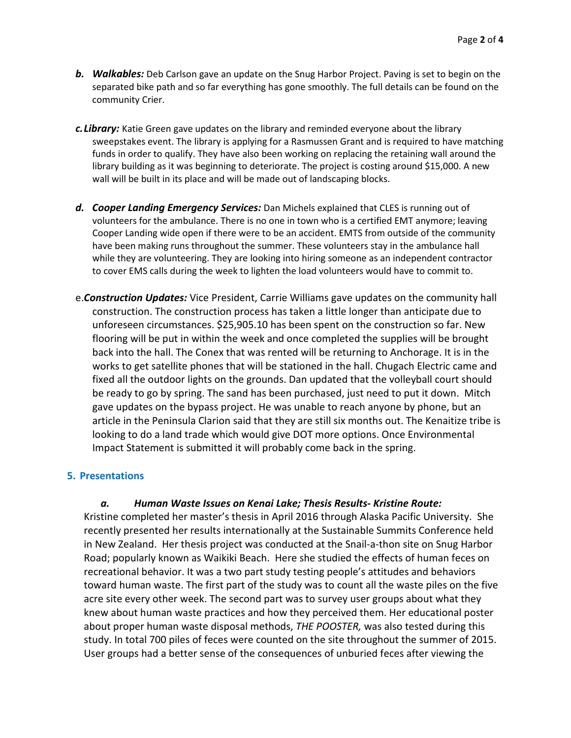- *b. Walkables:* Deb Carlson gave an update on the Snug Harbor Project. Paving is set to begin on the separated bike path and so far everything has gone smoothly. The full details can be found on the community Crier.
- *c.Library:* Katie Green gave updates on the library and reminded everyone about the library sweepstakes event. The library is applying for a Rasmussen Grant and is required to have matching funds in order to qualify. They have also been working on replacing the retaining wall around the library building as it was beginning to deteriorate. The project is costing around \$15,000. A new wall will be built in its place and will be made out of landscaping blocks.
- *d. Cooper Landing Emergency Services:* Dan Michels explained that CLES is running out of volunteers for the ambulance. There is no one in town who is a certified EMT anymore; leaving Cooper Landing wide open if there were to be an accident. EMTS from outside of the community have been making runs throughout the summer. These volunteers stay in the ambulance hall while they are volunteering. They are looking into hiring someone as an independent contractor to cover EMS calls during the week to lighten the load volunteers would have to commit to.
- e.*Construction Updates:* Vice President, Carrie Williams gave updates on the community hall construction. The construction process has taken a little longer than anticipate due to unforeseen circumstances. \$25,905.10 has been spent on the construction so far. New flooring will be put in within the week and once completed the supplies will be brought back into the hall. The Conex that was rented will be returning to Anchorage. It is in the works to get satellite phones that will be stationed in the hall. Chugach Electric came and fixed all the outdoor lights on the grounds. Dan updated that the volleyball court should be ready to go by spring. The sand has been purchased, just need to put it down. Mitch gave updates on the bypass project. He was unable to reach anyone by phone, but an article in the Peninsula Clarion said that they are still six months out. The Kenaitize tribe is looking to do a land trade which would give DOT more options. Once Environmental Impact Statement is submitted it will probably come back in the spring.

#### **5. Presentations**

#### *a. Human Waste Issues on Kenai Lake; Thesis Results- Kristine Route:*

Kristine completed her master's thesis in April 2016 through Alaska Pacific University. She recently presented her results internationally at the Sustainable Summits Conference held in New Zealand. Her thesis project was conducted at the Snail-a-thon site on Snug Harbor Road; popularly known as Waikiki Beach. Here she studied the effects of human feces on recreational behavior. It was a two part study testing people's attitudes and behaviors toward human waste. The first part of the study was to count all the waste piles on the five acre site every other week. The second part was to survey user groups about what they knew about human waste practices and how they perceived them. Her educational poster about proper human waste disposal methods, *THE POOSTER,* was also tested during this study. In total 700 piles of feces were counted on the site throughout the summer of 2015. User groups had a better sense of the consequences of unburied feces after viewing the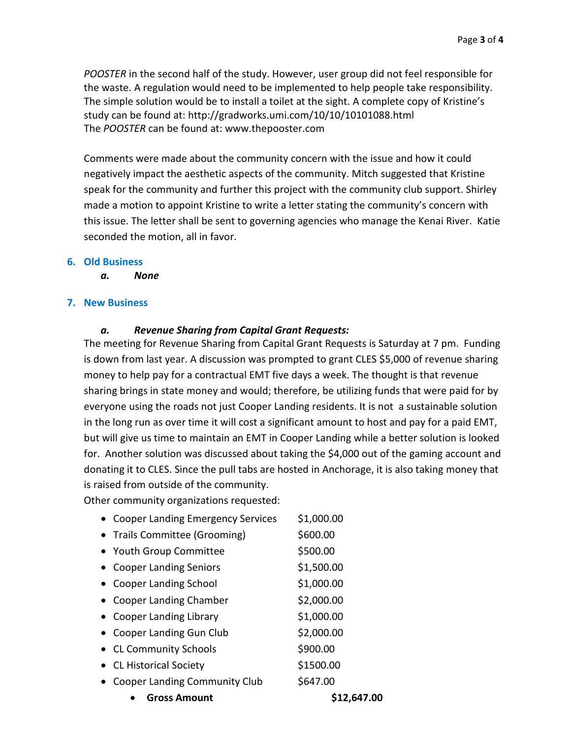*POOSTER* in the second half of the study. However, user group did not feel responsible for the waste. A regulation would need to be implemented to help people take responsibility. The simple solution would be to install a toilet at the sight. A complete copy of Kristine's study can be found at: http://gradworks.umi.com/10/10/10101088.html The *POOSTER* can be found at: www.thepooster.com

Comments were made about the community concern with the issue and how it could negatively impact the aesthetic aspects of the community. Mitch suggested that Kristine speak for the community and further this project with the community club support. Shirley made a motion to appoint Kristine to write a letter stating the community's concern with this issue. The letter shall be sent to governing agencies who manage the Kenai River. Katie seconded the motion, all in favor.

#### **6. Old Business**

*a. None*

#### **7. New Business**

#### *a. Revenue Sharing from Capital Grant Requests:*

The meeting for Revenue Sharing from Capital Grant Requests is Saturday at 7 pm. Funding is down from last year. A discussion was prompted to grant CLES \$5,000 of revenue sharing money to help pay for a contractual EMT five days a week. The thought is that revenue sharing brings in state money and would; therefore, be utilizing funds that were paid for by everyone using the roads not just Cooper Landing residents. It is not a sustainable solution in the long run as over time it will cost a significant amount to host and pay for a paid EMT, but will give us time to maintain an EMT in Cooper Landing while a better solution is looked for. Another solution was discussed about taking the \$4,000 out of the gaming account and donating it to CLES. Since the pull tabs are hosted in Anchorage, it is also taking money that is raised from outside of the community.

Other community organizations requested:

- Cooper Landing Emergency Services \$1,000.00
- Trails Committee (Grooming) \$600.00
- Youth Group Committee  $$500.00$
- Cooper Landing Seniors \$1,500.00
- Cooper Landing School \$1,000.00
- Cooper Landing Chamber \$2,000.00
- Cooper Landing Library \$1,000.00
- Cooper Landing Gun Club \$2,000.00
- CL Community Schools \$900.00
- CL Historical Society \$1500.00
- Cooper Landing Community Club \$647.00
	- **Gross Amount \$12,647.00**